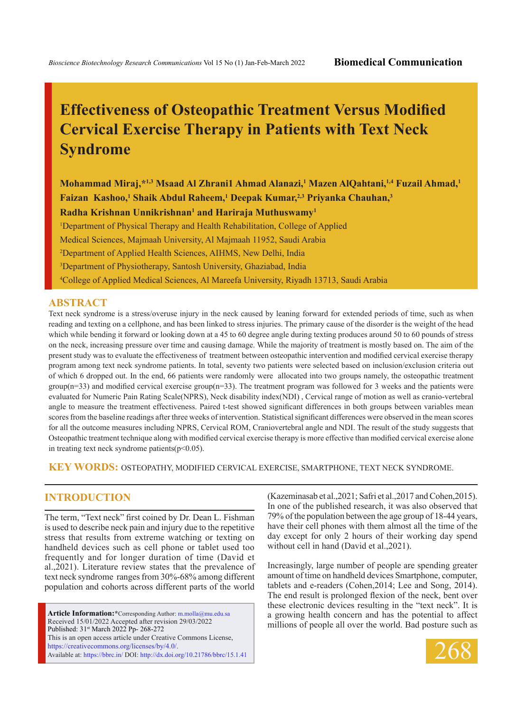# **Effectiveness of Osteopathic Treatment Versus Modified Cervical Exercise Therapy in Patients with Text Neck Syndrome**

**Mohammad Miraj,\*1,3 Msaad Al Zhrani1 Ahmad Alanazi,1 Mazen AlQahtani,1,4 Fuzail Ahmad,1 Faizan Kashoo,1 Shaik Abdul Raheem,1 Deepak Kumar,2,3 Priyanka Chauhan,3**

**Radha Krishnan Unnikrishnan1 and Hariraja Muthuswamy1**

<sup>1</sup>Department of Physical Therapy and Health Rehabilitation, College of Applied Medical Sciences, Majmaah University, Al Majmaah 11952, Saudi Arabia 2 Department of Applied Health Sciences, AIHMS, New Delhi, India

3 Department of Physiotherapy, Santosh University, Ghaziabad, India

4 College of Applied Medical Sciences, Al Mareefa University, Riyadh 13713, Saudi Arabia

#### **ABSTRACT**

Text neck syndrome is a stress/overuse injury in the neck caused by leaning forward for extended periods of time, such as when reading and texting on a cellphone, and has been linked to stress injuries. The primary cause of the disorder is the weight of the head which while bending it forward or looking down at a 45 to 60 degree angle during texting produces around 50 to 60 pounds of stress on the neck, increasing pressure over time and causing damage. While the majority of treatment is mostly based on. The aim of the present study was to evaluate the effectiveness of treatment between osteopathic intervention and modified cervical exercise therapy program among text neck syndrome patients. In total, seventy two patients were selected based on inclusion/exclusion criteria out of which 6 dropped out. In the end, 66 patients were randomly were allocated into two groups namely, the osteopathic treatment  $group(n=33)$  and modified cervical exercise group $(n=33)$ . The treatment program was followed for 3 weeks and the patients were evaluated for Numeric Pain Rating Scale(NPRS), Neck disability index(NDI) , Cervical range of motion as well as cranio-vertebral angle to measure the treatment effectiveness. Paired t-test showed significant differences in both groups between variables mean scores from the baseline readings after three weeks of intervention. Statistical significant differences were observed in the mean scores for all the outcome measures including NPRS, Cervical ROM, Craniovertebral angle and NDI. The result of the study suggests that Osteopathic treatment technique along with modified cervical exercise therapy is more effective than modified cervical exercise alone in treating text neck syndrome patients $(p<0.05)$ .

**KEY WORDS:** Osteopathy, Modified cervical exercise, Smartphone, Text Neck syndrome.

## **INTRODUCTION**

The term, "Text neck" first coined by Dr. Dean L. Fishman is used to describe neck pain and injury due to the repetitive stress that results from extreme watching or texting on handheld devices such as cell phone or tablet used too frequently and for longer duration of time (David et al.,2021). Literature review states that the prevalence of text neck syndrome ranges from 30%-68% among different population and cohorts across different parts of the world

**Article Information:\***Corresponding Author: m.molla@mu.edu.sa Received 15/01/2022 Accepted after revision 29/03/2022 Published: 31st March 2022 Pp- 268-272 This is an open access article under Creative Commons License, https://creativecommons.org/licenses/by/4.0/. Available at: https://bbrc.in/ DOI: http://dx.doi.org/10.21786/bbrc/15.1.41 (Kazeminasab et al.,2021; Safri et al.,2017 and Cohen,2015). In one of the published research, it was also observed that 79% of the population between the age group of 18-44 years, have their cell phones with them almost all the time of the day except for only 2 hours of their working day spend without cell in hand (David et al.,2021).

Increasingly, large number of people are spending greater amount of time on handheld devices Smartphone, computer, tablets and e-readers (Cohen,2014; Lee and Song, 2014). The end result is prolonged flexion of the neck, bent over these electronic devices resulting in the "text neck". It is a growing health concern and has the potential to affect millions of people all over the world. Bad posture such as

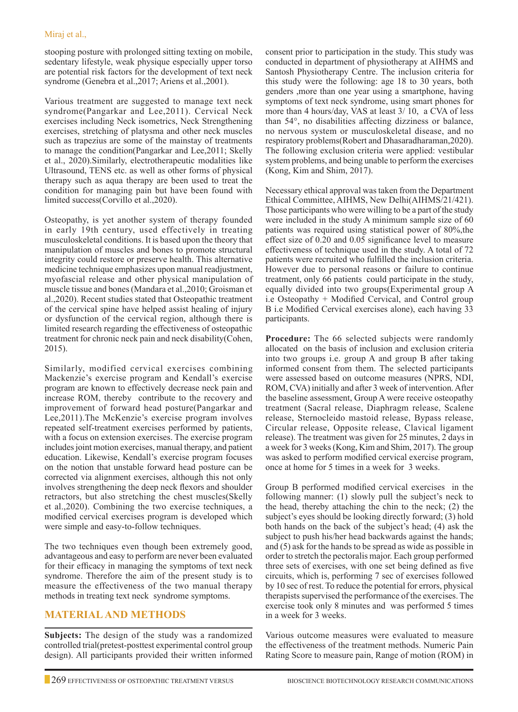stooping posture with prolonged sitting texting on mobile, sedentary lifestyle, weak physique especially upper torso are potential risk factors for the development of text neck syndrome (Genebra et al.,2017; Ariens et al.,2001).

Various treatment are suggested to manage text neck syndrome(Pangarkar and Lee,2011). Cervical Neck exercises including Neck isometrics, Neck Strengthening exercises, stretching of platysma and other neck muscles such as trapezius are some of the mainstay of treatments to manage the condition(Pangarkar and Lee,2011; Skelly et al., 2020).Similarly, electrotherapeutic modalities like Ultrasound, TENS etc. as well as other forms of physical therapy such as aqua therapy are been used to treat the condition for managing pain but have been found with limited success(Corvillo et al.,2020).

Osteopathy, is yet another system of therapy founded in early 19th century, used effectively in treating musculoskeletal conditions. It is based upon the theory that manipulation of muscles and bones to promote structural integrity could restore or preserve health. This alternative medicine technique emphasizes upon manual readjustment, myofascial release and other physical manipulation of muscle tissue and bones (Mandara et al.,2010; Groisman et al.,2020). Recent studies stated that Osteopathic treatment of the cervical spine have helped assist healing of injury or dysfunction of the cervical region, although there is limited research regarding the effectiveness of osteopathic treatment for chronic neck pain and neck disability(Cohen, 2015).

Similarly, modified cervical exercises combining Mackenzie's exercise program and Kendall's exercise program are known to effectively decrease neck pain and increase ROM, thereby contribute to the recovery and improvement of forward head posture(Pangarkar and Lee,2011).The McKenzie's exercise program involves repeated self-treatment exercises performed by patients, with a focus on extension exercises. The exercise program includes joint motion exercises, manual therapy, and patient education. Likewise, Kendall's exercise program focuses on the notion that unstable forward head posture can be corrected via alignment exercises, although this not only involves strengthening the deep neck flexors and shoulder retractors, but also stretching the chest muscles(Skelly et al.,2020). Combining the two exercise techniques, a modified cervical exercises program is developed which were simple and easy-to-follow techniques.

The two techniques even though been extremely good, advantageous and easy to perform are never been evaluated for their efficacy in managing the symptoms of text neck syndrome. Therefore the aim of the present study is to measure the effectiveness of the two manual therapy methods in treating text neck syndrome symptoms.

# **MATERIAL AND METHODS**

**Subjects:** The design of the study was a randomized controlled trial(pretest-posttest experimental control group design). All participants provided their written informed consent prior to participation in the study. This study was conducted in department of physiotherapy at AIHMS and Santosh Physiotherapy Centre. The inclusion criteria for this study were the following: age 18 to 30 years, both genders ,more than one year using a smartphone, having symptoms of text neck syndrome, using smart phones for more than 4 hours/day, VAS at least 3/ 10, a CVA of less than 54°, no disabilities affecting dizziness or balance, no nervous system or musculoskeletal disease, and no respiratory problems(Robert and Dhasaradharaman,2020). The following exclusion criteria were applied: vestibular system problems, and being unable to perform the exercises (Kong, Kim and Shim, 2017).

Necessary ethical approval was taken from the Department Ethical Committee, AIHMS, New Delhi(AIHMS/21/421). Those participants who were willing to be a part of the study were included in the study A minimum sample size of 60 patients was required using statistical power of 80%,the effect size of 0.20 and 0.05 significance level to measure effectiveness of technique used in the study. A total of 72 patients were recruited who fulfilled the inclusion criteria. However due to personal reasons or failure to continue treatment, only 66 patients could participate in the study, equally divided into two groups(Experimental group A i.e Osteopathy + Modified Cervical, and Control group B i.e Modified Cervical exercises alone), each having 33 participants.

**Procedure:** The 66 selected subjects were randomly allocated on the basis of inclusion and exclusion criteria into two groups i.e. group A and group B after taking informed consent from them. The selected participants were assessed based on outcome measures (NPRS, NDI, ROM, CVA) initially and after 3 week of intervention. After the baseline assessment, Group A were receive osteopathy treatment (Sacral release, Diaphragm release, Scalene release, Sternocleido mastoid release, Bypass release, Circular release, Opposite release, Clavical ligament release). The treatment was given for 25 minutes, 2 days in a week for 3 weeks (Kong, Kim and Shim, 2017). The group was asked to perform modified cervical exercise program, once at home for 5 times in a week for 3 weeks.

Group B performed modified cervical exercises in the following manner: (1) slowly pull the subject's neck to the head, thereby attaching the chin to the neck; (2) the subject's eyes should be looking directly forward; (3) hold both hands on the back of the subject's head; (4) ask the subject to push his/her head backwards against the hands; and (5) ask for the hands to be spread as wide as possible in order to stretch the pectoralis major. Each group performed three sets of exercises, with one set being defined as five circuits, which is, performing 7 sec of exercises followed by 10 sec of rest. To reduce the potential for errors, physical therapists supervised the performance of the exercises. The exercise took only 8 minutes and was performed 5 times in a week for 3 weeks.

Various outcome measures were evaluated to measure the effectiveness of the treatment methods. Numeric Pain Rating Score to measure pain, Range of motion (ROM) in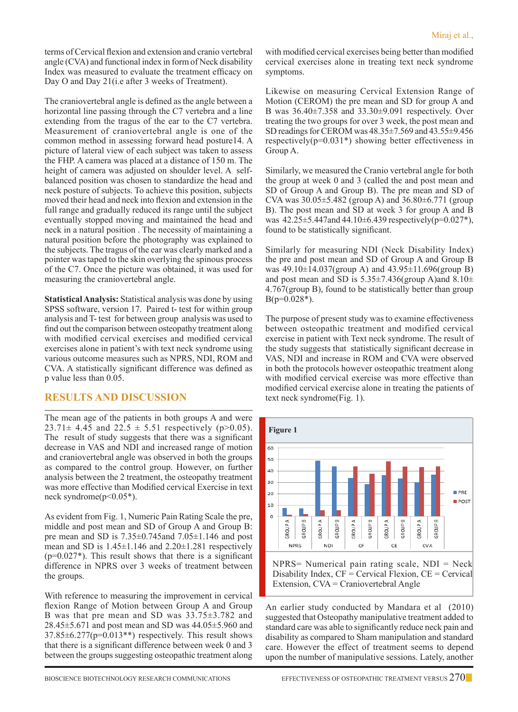terms of Cervical flexion and extension and cranio vertebral angle (CVA) and functional index in form of Neck disability Index was measured to evaluate the treatment efficacy on Day O and Day 21(i.e after 3 weeks of Treatment).

The craniovertebral angle is defined as the angle between a horizontal line passing through the C7 vertebra and a line extending from the tragus of the ear to the C7 vertebra. Measurement of craniovertebral angle is one of the common method in assessing forward head posture14. A picture of lateral view of each subject was taken to assess the FHP. A camera was placed at a distance of 150 m. The height of camera was adjusted on shoulder level. A selfbalanced position was chosen to standardize the head and neck posture of subjects. To achieve this position, subjects moved their head and neck into flexion and extension in the full range and gradually reduced its range until the subject eventually stopped moving and maintained the head and neck in a natural position . The necessity of maintaining a natural position before the photography was explained to the subjects. The tragus of the ear was clearly marked and a pointer was taped to the skin overlying the spinous process of the C7. Once the picture was obtained, it was used for measuring the craniovertebral angle.

**Statistical Analysis:** Statistical analysis was done by using SPSS software, version 17. Paired t- test for within group analysis and T- test for between group analysis was used to find out the comparison between osteopathy treatment along with modified cervical exercises and modified cervical exercises alone in patient's with text neck syndrome using various outcome measures such as NPRS, NDI, ROM and CVA. A statistically significant difference was defined as p value less than 0.05.

# **RESULTS AND DISCUSSION**

The mean age of the patients in both groups A and were  $23.71 \pm 4.45$  and  $22.5 \pm 5.51$  respectively (p>0.05). The result of study suggests that there was a significant decrease in VAS and NDI and increased range of motion and craniovertebral angle was observed in both the groups as compared to the control group. However, on further analysis between the 2 treatment, the osteopathy treatment was more effective than Modified cervical Exercise in text neck syndrome( $p<0.05^*$ ).

As evident from Fig. 1, Numeric Pain Rating Scale the pre, middle and post mean and SD of Group A and Group B: pre mean and SD is  $7.35\pm0.745$  and  $7.05\pm1.146$  and post mean and SD is  $1.45\pm1.146$  and  $2.20\pm1.281$  respectively  $(p=0.027^*)$ . This result shows that there is a significant difference in NPRS over 3 weeks of treatment between the groups.

With reference to measuring the improvement in cervical flexion Range of Motion between Group A and Group B was that pre mean and SD was 33.75±3.782 and 28.45±5.671 and post mean and SD was 44.05±5.960 and 37.85±6.277(p=0.013\*\*) respectively. This result shows that there is a significant difference between week 0 and 3 between the groups suggesting osteopathic treatment along with modified cervical exercises being better than modified cervical exercises alone in treating text neck syndrome symptoms.

Likewise on measuring Cervical Extension Range of Motion (CEROM) the pre mean and SD for group A and B was 36.40±7.358 and 33.30±9.091 respectively. Over treating the two groups for over 3 week, the post mean and SD readings for CEROM was 48.35±7.569 and 43.55±9.456 respectively(p=0.031\*) showing better effectiveness in Group A.

Similarly, we measured the Cranio vertebral angle for both the group at week 0 and 3 (called the and post mean and SD of Group A and Group B). The pre mean and SD of CVA was  $30.05 \pm 5.482$  (group A) and  $36.80 \pm 6.771$  (group B). The post mean and SD at week 3 for group A and B was  $42.25 \pm 5.447$  and  $44.10 \pm 6.439$  respectively(p=0.027<sup>\*</sup>), found to be statistically significant.

Similarly for measuring NDI (Neck Disability Index) the pre and post mean and SD of Group A and Group B was 49.10±14.037(group A) and 43.95±11.696(group B) and post mean and SD is  $5.35\pm7.436$  (group A)and  $8.10\pm$ 4.767(group B), found to be statistically better than group  $B(p=0.028^*)$ .

The purpose of present study was to examine effectiveness between osteopathic treatment and modified cervical exercise in patient with Text neck syndrome. The result of the study suggests that statistically significant decrease in VAS, NDI and increase in ROM and CVA were observed in both the protocols however osteopathic treatment along with modified cervical exercise was more effective than modified cervical exercise alone in treating the patients of text neck syndrome(Fig. 1).



An earlier study conducted by Mandara et al (2010) suggested that Osteopathy manipulative treatment added to standard care was able to significantly reduce neck pain and disability as compared to Sham manipulation and standard care. However the effect of treatment seems to depend upon the number of manipulative sessions. Lately, another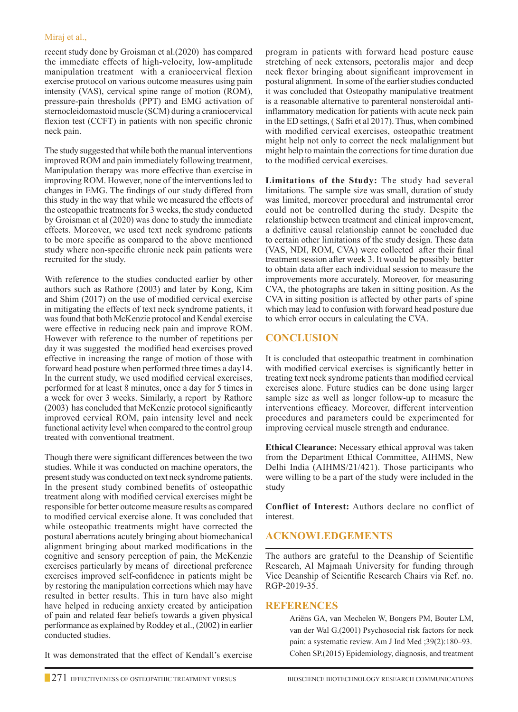#### Miraj et al.,

recent study done by Groisman et al.(2020) has compared the immediate effects of high-velocity, low-amplitude manipulation treatment with a craniocervical flexion exercise protocol on various outcome measures using pain intensity (VAS), cervical spine range of motion (ROM), pressure-pain thresholds (PPT) and EMG activation of sternocleidomastoid muscle (SCM) during a craniocervical flexion test (CCFT) in patients with non specific chronic neck pain.

The study suggested that while both the manual interventions improved ROM and pain immediately following treatment, Manipulation therapy was more effective than exercise in improving ROM. However, none of the interventions led to changes in EMG. The findings of our study differed from this study in the way that while we measured the effects of the osteopathic treatments for 3 weeks, the study conducted by Groisman et al (2020) was done to study the immediate effects. Moreover, we used text neck syndrome patients to be more specific as compared to the above mentioned study where non-specific chronic neck pain patients were recruited for the study.

With reference to the studies conducted earlier by other authors such as Rathore (2003) and later by Kong, Kim and Shim (2017) on the use of modified cervical exercise in mitigating the effects of text neck syndrome patients, it was found that both McKenzie protocol and Kendal exercise were effective in reducing neck pain and improve ROM. However with reference to the number of repetitions per day it was suggested the modified head exercises proved effective in increasing the range of motion of those with forward head posture when performed three times a day14. In the current study, we used modified cervical exercises, performed for at least 8 minutes, once a day for 5 times in a week for over 3 weeks. Similarly, a report by Rathore (2003) has concluded that McKenzie protocol significantly improved cervical ROM, pain intensity level and neck functional activity level when compared to the control group treated with conventional treatment.

Though there were significant differences between the two studies. While it was conducted on machine operators, the present study was conducted on text neck syndrome patients. In the present study combined benefits of osteopathic treatment along with modified cervical exercises might be responsible for better outcome measure results as compared to modified cervical exercise alone. It was concluded that while osteopathic treatments might have corrected the postural aberrations acutely bringing about biomechanical alignment bringing about marked modifications in the cognitive and sensory perception of pain, the McKenzie exercises particularly by means of directional preference exercises improved self-confidence in patients might be by restoring the manipulation corrections which may have resulted in better results. This in turn have also might have helped in reducing anxiety created by anticipation of pain and related fear beliefs towards a given physical performance as explained by Roddey et al., (2002) in earlier conducted studies.

It was demonstrated that the effect of Kendall's exercise

program in patients with forward head posture cause stretching of neck extensors, pectoralis major and deep neck flexor bringing about significant improvement in postural alignment. In some of the earlier studies conducted it was concluded that Osteopathy manipulative treatment is a reasonable alternative to parenteral nonsteroidal antiinflammatory medication for patients with acute neck pain in the ED settings, ( Safri et al 2017). Thus, when combined with modified cervical exercises, osteopathic treatment might help not only to correct the neck malalignment but might help to maintain the corrections for time duration due to the modified cervical exercises.

**Limitations of the Study:** The study had several limitations. The sample size was small, duration of study was limited, moreover procedural and instrumental error could not be controlled during the study. Despite the relationship between treatment and clinical improvement, a definitive causal relationship cannot be concluded due to certain other limitations of the study design. These data (VAS, NDI, ROM, CVA) were collected after their final treatment session after week 3. It would be possibly better to obtain data after each individual session to measure the improvements more accurately. Moreover, for measuring CVA, the photographs are taken in sitting position. As the CVA in sitting position is affected by other parts of spine which may lead to confusion with forward head posture due to which error occurs in calculating the CVA.

# **Conclusion**

It is concluded that osteopathic treatment in combination with modified cervical exercises is significantly better in treating text neck syndrome patients than modified cervical exercises alone. Future studies can be done using larger sample size as well as longer follow-up to measure the interventions efficacy. Moreover, different intervention procedures and parameters could be experimented for improving cervical muscle strength and endurance.

**Ethical Clearance:** Necessary ethical approval was taken from the Department Ethical Committee, AIHMS, New Delhi India (AIHMS/21/421). Those participants who were willing to be a part of the study were included in the study

**Conflict of Interest:** Authors declare no conflict of interest.

# **Acknowledgements**

The authors are grateful to the Deanship of Scientific Research, Al Majmaah University for funding through Vice Deanship of Scientific Research Chairs via Ref. no. RGP-2019-35.

## **REFERENCES**

Ariëns GA, van Mechelen W, Bongers PM, Bouter LM, van der Wal G.(2001) Psychosocial risk factors for neck pain: a systematic review. Am J Ind Med ;39(2):180–93. Cohen SP.(2015) Epidemiology, diagnosis, and treatment